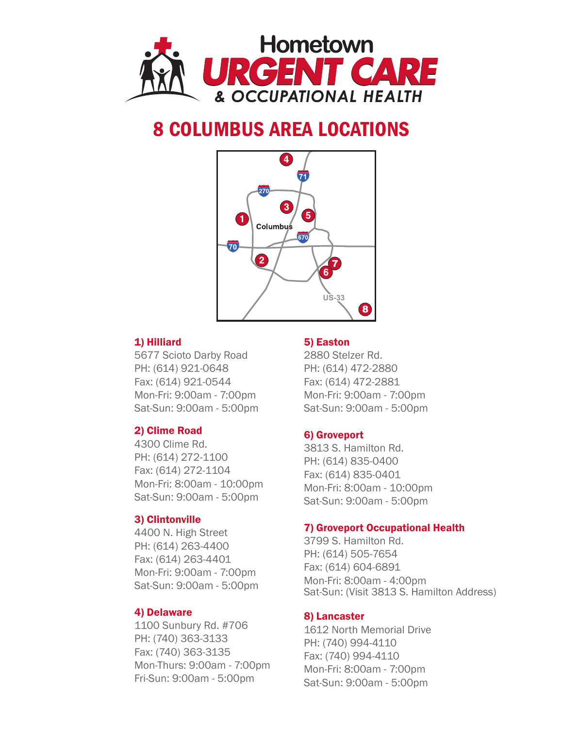

# 8 COLUMBUS AREA LOCATIONS



### 1) Hilliard

5677 Scioto Darby Road PH: (614) 921-0648 Fax: (614) 921-0544 Mon-Fri: 9:00am - 7:00pm Sat-Sun: 9:00am - 5:00pm

### 2) Clime Road

4300 Clime Rd. PH: (614) 272-1100 Fax: (614) 272-1104 Mon-Fri: 8:00am - 10:00pm Sat-Sun: 9:00am - 5:00pm

### 3) Clintonville

4400 N. High Street PH: (614) 263-4400 Fax: (614) 263-4401 Mon-Fri: 9:00am - 7:00pm Sat-Sun: 9:00am - 5:00pm

### 4) Delaware

1100 Sunbury Rd. #706 PH: (740) 363-3133 Fax: (740) 363-3135 Mon-Thurs: 9:00am - 7:00pm Fri-Sun: 9:00am - 5:00pm

### 5) Easton

2880 Stelzer Rd. PH: (614) 472-2880 Fax: (614) 472-2881 Mon-Fri: 9:00am - 7:00pm Sat-Sun: 9:00am - 5:00pm

### 6) Groveport

3813 S. Hamilton Rd. PH: (614) 835-0400 Fax: (614) 835-0401 Mon-Fri: 8:00am - 10:00pm Sat-Sun: 9:00am - 5:00pm

### 7) Groveport Occupational Health

3799 S. Hamilton Rd. PH: (614) 505-7654 Fax: (614) 604-6891 Mon-Fri: 8:00am - 4:00pm Sat-Sun: (Visit 3813 S. Hamilton Address)

### 8) Lancaster

1612 North Memorial Drive PH: (740) 994-4110 Fax: (740) 994-4110 Mon-Fri: 8:00am - 7:00pm Sat-Sun: 9:00am - 5:00pm